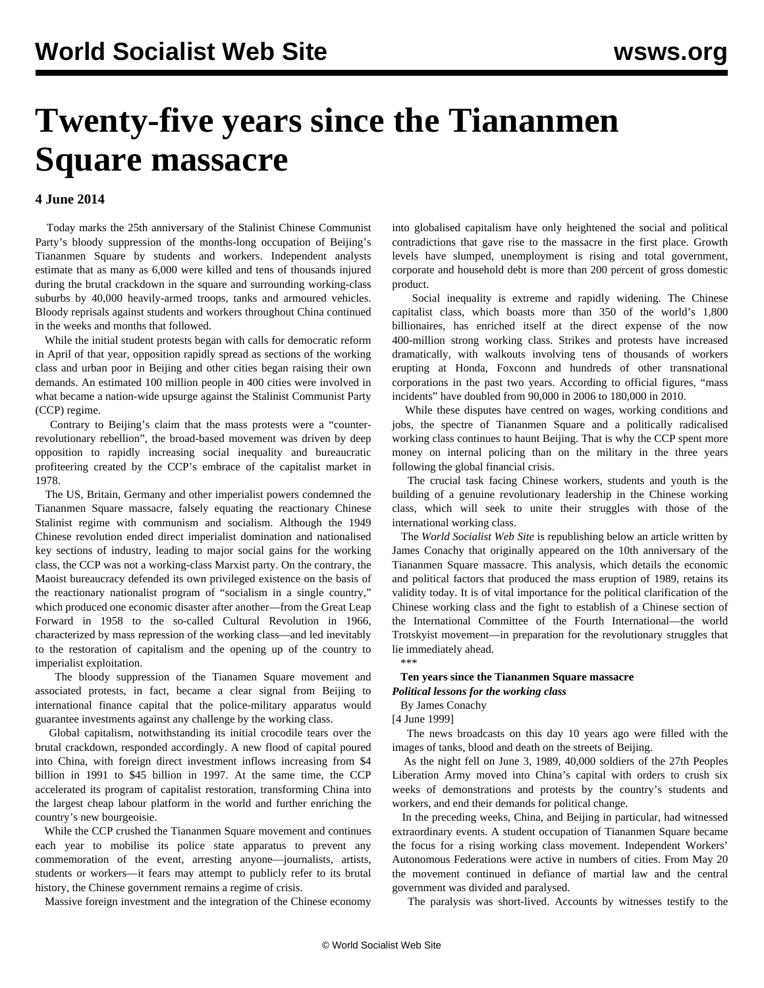# **Twenty-five years since the Tiananmen Square massacre**

### **4 June 2014**

 Today marks the 25th anniversary of the Stalinist Chinese Communist Party's bloody suppression of the months-long occupation of Beijing's Tiananmen Square by students and workers. Independent analysts estimate that as many as 6,000 were killed and tens of thousands injured during the brutal crackdown in the square and surrounding working-class suburbs by 40,000 heavily-armed troops, tanks and armoured vehicles. Bloody reprisals against students and workers throughout China continued in the weeks and months that followed.

 While the initial student protests began with calls for democratic reform in April of that year, opposition rapidly spread as sections of the working class and urban poor in Beijing and other cities began raising their own demands. An estimated 100 million people in 400 cities were involved in what became a nation-wide upsurge against the Stalinist Communist Party (CCP) regime.

 Contrary to Beijing's claim that the mass protests were a "counterrevolutionary rebellion", the broad-based movement was driven by deep opposition to rapidly increasing social inequality and bureaucratic profiteering created by the CCP's embrace of the capitalist market in 1978.

 The US, Britain, Germany and other imperialist powers condemned the Tiananmen Square massacre, falsely equating the reactionary Chinese Stalinist regime with communism and socialism. Although the 1949 Chinese revolution ended direct imperialist domination and nationalised key sections of industry, leading to major social gains for the working class, the CCP was not a working-class Marxist party. On the contrary, the Maoist bureaucracy defended its own privileged existence on the basis of the reactionary nationalist program of "socialism in a single country," which produced one economic disaster after another—from the Great Leap Forward in 1958 to the so-called Cultural Revolution in 1966, characterized by mass repression of the working class—and led inevitably to the restoration of capitalism and the opening up of the country to imperialist exploitation.

 The bloody suppression of the Tianamen Square movement and associated protests, in fact, became a clear signal from Beijing to international finance capital that the police-military apparatus would guarantee investments against any challenge by the working class.

 Global capitalism, notwithstanding its initial crocodile tears over the brutal crackdown, responded accordingly. A new flood of capital poured into China, with foreign direct investment inflows increasing from \$4 billion in 1991 to \$45 billion in 1997. At the same time, the CCP accelerated its program of capitalist restoration, transforming China into the largest cheap labour platform in the world and further enriching the country's new bourgeoisie.

 While the CCP crushed the Tiananmen Square movement and continues each year to mobilise its police state apparatus to prevent any commemoration of the event, arresting anyone—journalists, artists, students or workers—it fears may attempt to publicly refer to its brutal history, the Chinese government remains a regime of crisis.

Massive foreign investment and the integration of the Chinese economy

into globalised capitalism have only heightened the social and political contradictions that gave rise to the massacre in the first place. Growth levels have slumped, unemployment is rising and total government, corporate and household debt is more than 200 percent of gross domestic product.

 Social inequality is extreme and rapidly widening. The Chinese capitalist class, which boasts more than 350 of the world's 1,800 billionaires, has enriched itself at the direct expense of the now 400-million strong working class. Strikes and protests have increased dramatically, with walkouts involving tens of thousands of workers erupting at Honda, Foxconn and hundreds of other transnational corporations in the past two years. According to official figures, "mass incidents" have doubled from 90,000 in 2006 to 180,000 in 2010.

 While these disputes have centred on wages, working conditions and jobs, the spectre of Tiananmen Square and a politically radicalised working class continues to haunt Beijing. That is why the CCP spent more money on internal policing than on the military in the three years following the global financial crisis.

 The crucial task facing Chinese workers, students and youth is the building of a genuine revolutionary leadership in the Chinese working class, which will seek to unite their struggles with those of the international working class.

 The *World Socialist Web Site* is republishing below an article written by James Conachy that originally appeared on the 10th anniversary of the Tiananmen Square massacre. This analysis, which details the economic and political factors that produced the mass eruption of 1989, retains its validity today. It is of vital importance for the political clarification of the Chinese working class and the fight to establish of a Chinese section of the International Committee of the Fourth International—the world Trotskyist movement—in preparation for the revolutionary struggles that lie immediately ahead. \*\*\*

## **Ten years since the Tiananmen Square massacre**

*Political lessons for the working class*

 By James Conachy [4 June 1999]

 The news broadcasts on this day 10 years ago were filled with the images of tanks, blood and death on the streets of Beijing.

 As the night fell on June 3, 1989, 40,000 soldiers of the 27th Peoples Liberation Army moved into China's capital with orders to crush six weeks of demonstrations and protests by the country's students and workers, and end their demands for political change.

 In the preceding weeks, China, and Beijing in particular, had witnessed extraordinary events. A student occupation of Tiananmen Square became the focus for a rising working class movement. Independent Workers' Autonomous Federations were active in numbers of cities. From May 20 the movement continued in defiance of martial law and the central government was divided and paralysed.

The paralysis was short-lived. Accounts by witnesses testify to the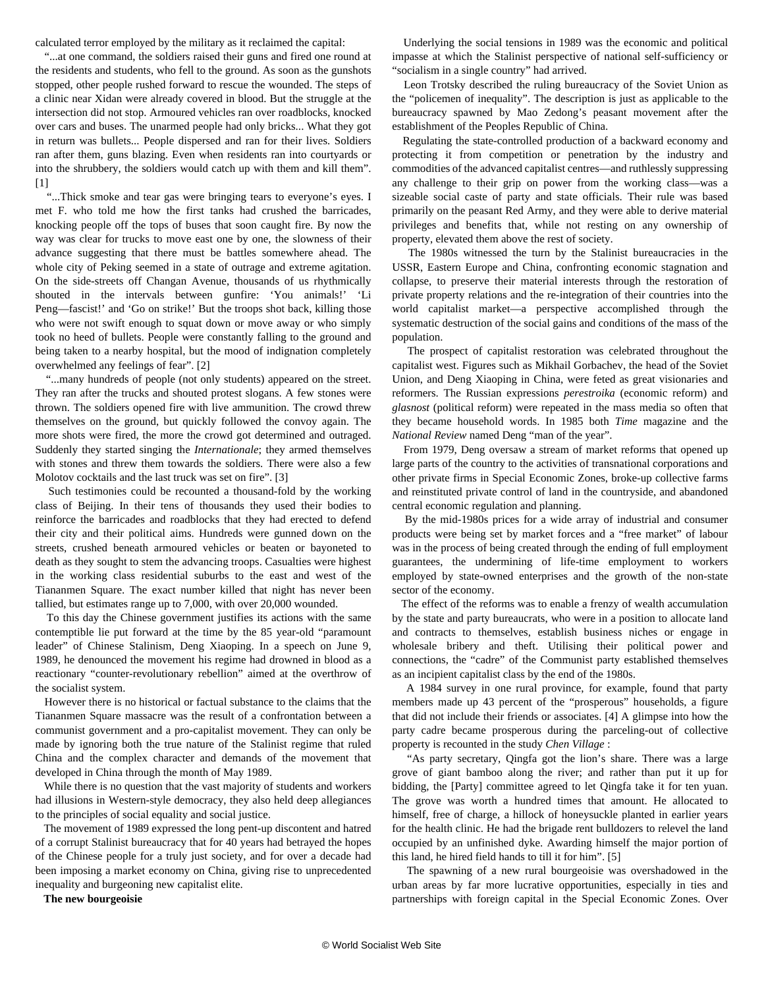calculated terror employed by the military as it reclaimed the capital:

 "...at one command, the soldiers raised their guns and fired one round at the residents and students, who fell to the ground. As soon as the gunshots stopped, other people rushed forward to rescue the wounded. The steps of a clinic near Xidan were already covered in blood. But the struggle at the intersection did not stop. Armoured vehicles ran over roadblocks, knocked over cars and buses. The unarmed people had only bricks... What they got in return was bullets... People dispersed and ran for their lives. Soldiers ran after them, guns blazing. Even when residents ran into courtyards or into the shrubbery, the soldiers would catch up with them and kill them". [1]

 "...Thick smoke and tear gas were bringing tears to everyone's eyes. I met F. who told me how the first tanks had crushed the barricades, knocking people off the tops of buses that soon caught fire. By now the way was clear for trucks to move east one by one, the slowness of their advance suggesting that there must be battles somewhere ahead. The whole city of Peking seemed in a state of outrage and extreme agitation. On the side-streets off Changan Avenue, thousands of us rhythmically shouted in the intervals between gunfire: 'You animals!' 'Li Peng—fascist!' and 'Go on strike!' But the troops shot back, killing those who were not swift enough to squat down or move away or who simply took no heed of bullets. People were constantly falling to the ground and being taken to a nearby hospital, but the mood of indignation completely overwhelmed any feelings of fear". [2]

 "...many hundreds of people (not only students) appeared on the street. They ran after the trucks and shouted protest slogans. A few stones were thrown. The soldiers opened fire with live ammunition. The crowd threw themselves on the ground, but quickly followed the convoy again. The more shots were fired, the more the crowd got determined and outraged. Suddenly they started singing the *Internationale*; they armed themselves with stones and threw them towards the soldiers. There were also a few Molotov cocktails and the last truck was set on fire". [3]

 Such testimonies could be recounted a thousand-fold by the working class of Beijing. In their tens of thousands they used their bodies to reinforce the barricades and roadblocks that they had erected to defend their city and their political aims. Hundreds were gunned down on the streets, crushed beneath armoured vehicles or beaten or bayoneted to death as they sought to stem the advancing troops. Casualties were highest in the working class residential suburbs to the east and west of the Tiananmen Square. The exact number killed that night has never been tallied, but estimates range up to 7,000, with over 20,000 wounded.

 To this day the Chinese government justifies its actions with the same contemptible lie put forward at the time by the 85 year-old "paramount leader" of Chinese Stalinism, Deng Xiaoping. In a speech on June 9, 1989, he denounced the movement his regime had drowned in blood as a reactionary "counter-revolutionary rebellion" aimed at the overthrow of the socialist system.

 However there is no historical or factual substance to the claims that the Tiananmen Square massacre was the result of a confrontation between a communist government and a pro-capitalist movement. They can only be made by ignoring both the true nature of the Stalinist regime that ruled China and the complex character and demands of the movement that developed in China through the month of May 1989.

 While there is no question that the vast majority of students and workers had illusions in Western-style democracy, they also held deep allegiances to the principles of social equality and social justice.

 The movement of 1989 expressed the long pent-up discontent and hatred of a corrupt Stalinist bureaucracy that for 40 years had betrayed the hopes of the Chinese people for a truly just society, and for over a decade had been imposing a market economy on China, giving rise to unprecedented inequality and burgeoning new capitalist elite.

**The new bourgeoisie**

 Underlying the social tensions in 1989 was the economic and political impasse at which the Stalinist perspective of national self-sufficiency or "socialism in a single country" had arrived.

 Leon Trotsky described the ruling bureaucracy of the Soviet Union as the "policemen of inequality". The description is just as applicable to the bureaucracy spawned by Mao Zedong's peasant movement after the establishment of the Peoples Republic of China.

 Regulating the state-controlled production of a backward economy and protecting it from competition or penetration by the industry and commodities of the advanced capitalist centres—and ruthlessly suppressing any challenge to their grip on power from the working class—was a sizeable social caste of party and state officials. Their rule was based primarily on the peasant Red Army, and they were able to derive material privileges and benefits that, while not resting on any ownership of property, elevated them above the rest of society.

 The 1980s witnessed the turn by the Stalinist bureaucracies in the USSR, Eastern Europe and China, confronting economic stagnation and collapse, to preserve their material interests through the restoration of private property relations and the re-integration of their countries into the world capitalist market—a perspective accomplished through the systematic destruction of the social gains and conditions of the mass of the population.

 The prospect of capitalist restoration was celebrated throughout the capitalist west. Figures such as Mikhail Gorbachev, the head of the Soviet Union, and Deng Xiaoping in China, were feted as great visionaries and reformers. The Russian expressions *perestroika* (economic reform) and *glasnost* (political reform) were repeated in the mass media so often that they became household words. In 1985 both *Time* magazine and the *National Review* named Deng "man of the year".

 From 1979, Deng oversaw a stream of market reforms that opened up large parts of the country to the activities of transnational corporations and other private firms in Special Economic Zones, broke-up collective farms and reinstituted private control of land in the countryside, and abandoned central economic regulation and planning.

 By the mid-1980s prices for a wide array of industrial and consumer products were being set by market forces and a "free market" of labour was in the process of being created through the ending of full employment guarantees, the undermining of life-time employment to workers employed by state-owned enterprises and the growth of the non-state sector of the economy.

 The effect of the reforms was to enable a frenzy of wealth accumulation by the state and party bureaucrats, who were in a position to allocate land and contracts to themselves, establish business niches or engage in wholesale bribery and theft. Utilising their political power and connections, the "cadre" of the Communist party established themselves as an incipient capitalist class by the end of the 1980s.

 A 1984 survey in one rural province, for example, found that party members made up 43 percent of the "prosperous" households, a figure that did not include their friends or associates. [4] A glimpse into how the party cadre became prosperous during the parceling-out of collective property is recounted in the study *Chen Village* :

 "As party secretary, Qingfa got the lion's share. There was a large grove of giant bamboo along the river; and rather than put it up for bidding, the [Party] committee agreed to let Qingfa take it for ten yuan. The grove was worth a hundred times that amount. He allocated to himself, free of charge, a hillock of honeysuckle planted in earlier years for the health clinic. He had the brigade rent bulldozers to relevel the land occupied by an unfinished dyke. Awarding himself the major portion of this land, he hired field hands to till it for him". [5]

 The spawning of a new rural bourgeoisie was overshadowed in the urban areas by far more lucrative opportunities, especially in ties and partnerships with foreign capital in the Special Economic Zones. Over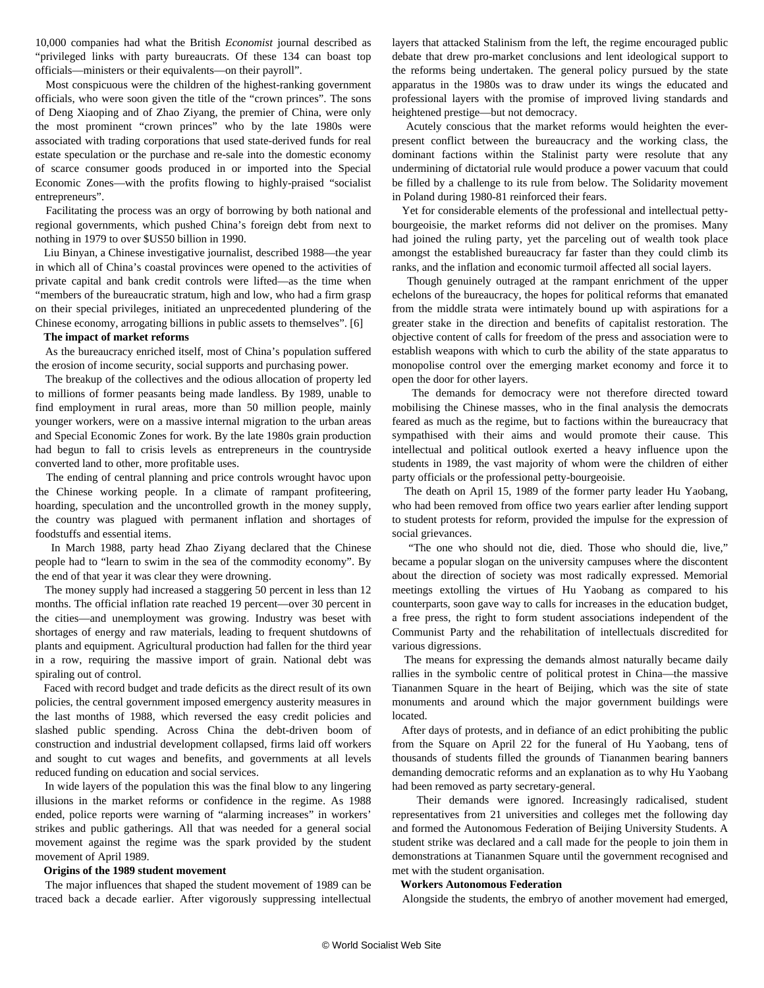10,000 companies had what the British *Economist* journal described as "privileged links with party bureaucrats. Of these 134 can boast top officials—ministers or their equivalents—on their payroll".

 Most conspicuous were the children of the highest-ranking government officials, who were soon given the title of the "crown princes". The sons of Deng Xiaoping and of Zhao Ziyang, the premier of China, were only the most prominent "crown princes" who by the late 1980s were associated with trading corporations that used state-derived funds for real estate speculation or the purchase and re-sale into the domestic economy of scarce consumer goods produced in or imported into the Special Economic Zones—with the profits flowing to highly-praised "socialist entrepreneurs".

 Facilitating the process was an orgy of borrowing by both national and regional governments, which pushed China's foreign debt from next to nothing in 1979 to over \$US50 billion in 1990.

 Liu Binyan, a Chinese investigative journalist, described 1988—the year in which all of China's coastal provinces were opened to the activities of private capital and bank credit controls were lifted—as the time when "members of the bureaucratic stratum, high and low, who had a firm grasp on their special privileges, initiated an unprecedented plundering of the Chinese economy, arrogating billions in public assets to themselves". [6]

#### **The impact of market reforms**

 As the bureaucracy enriched itself, most of China's population suffered the erosion of income security, social supports and purchasing power.

 The breakup of the collectives and the odious allocation of property led to millions of former peasants being made landless. By 1989, unable to find employment in rural areas, more than 50 million people, mainly younger workers, were on a massive internal migration to the urban areas and Special Economic Zones for work. By the late 1980s grain production had begun to fall to crisis levels as entrepreneurs in the countryside converted land to other, more profitable uses.

 The ending of central planning and price controls wrought havoc upon the Chinese working people. In a climate of rampant profiteering, hoarding, speculation and the uncontrolled growth in the money supply, the country was plagued with permanent inflation and shortages of foodstuffs and essential items.

 In March 1988, party head Zhao Ziyang declared that the Chinese people had to "learn to swim in the sea of the commodity economy". By the end of that year it was clear they were drowning.

 The money supply had increased a staggering 50 percent in less than 12 months. The official inflation rate reached 19 percent—over 30 percent in the cities—and unemployment was growing. Industry was beset with shortages of energy and raw materials, leading to frequent shutdowns of plants and equipment. Agricultural production had fallen for the third year in a row, requiring the massive import of grain. National debt was spiraling out of control.

 Faced with record budget and trade deficits as the direct result of its own policies, the central government imposed emergency austerity measures in the last months of 1988, which reversed the easy credit policies and slashed public spending. Across China the debt-driven boom of construction and industrial development collapsed, firms laid off workers and sought to cut wages and benefits, and governments at all levels reduced funding on education and social services.

 In wide layers of the population this was the final blow to any lingering illusions in the market reforms or confidence in the regime. As 1988 ended, police reports were warning of "alarming increases" in workers' strikes and public gatherings. All that was needed for a general social movement against the regime was the spark provided by the student movement of April 1989.

#### **Origins of the 1989 student movement**

 The major influences that shaped the student movement of 1989 can be traced back a decade earlier. After vigorously suppressing intellectual layers that attacked Stalinism from the left, the regime encouraged public debate that drew pro-market conclusions and lent ideological support to the reforms being undertaken. The general policy pursued by the state apparatus in the 1980s was to draw under its wings the educated and professional layers with the promise of improved living standards and heightened prestige—but not democracy.

 Acutely conscious that the market reforms would heighten the everpresent conflict between the bureaucracy and the working class, the dominant factions within the Stalinist party were resolute that any undermining of dictatorial rule would produce a power vacuum that could be filled by a challenge to its rule from below. The Solidarity movement in Poland during 1980-81 reinforced their fears.

 Yet for considerable elements of the professional and intellectual pettybourgeoisie, the market reforms did not deliver on the promises. Many had joined the ruling party, yet the parceling out of wealth took place amongst the established bureaucracy far faster than they could climb its ranks, and the inflation and economic turmoil affected all social layers.

 Though genuinely outraged at the rampant enrichment of the upper echelons of the bureaucracy, the hopes for political reforms that emanated from the middle strata were intimately bound up with aspirations for a greater stake in the direction and benefits of capitalist restoration. The objective content of calls for freedom of the press and association were to establish weapons with which to curb the ability of the state apparatus to monopolise control over the emerging market economy and force it to open the door for other layers.

 The demands for democracy were not therefore directed toward mobilising the Chinese masses, who in the final analysis the democrats feared as much as the regime, but to factions within the bureaucracy that sympathised with their aims and would promote their cause. This intellectual and political outlook exerted a heavy influence upon the students in 1989, the vast majority of whom were the children of either party officials or the professional petty-bourgeoisie.

 The death on April 15, 1989 of the former party leader Hu Yaobang, who had been removed from office two years earlier after lending support to student protests for reform, provided the impulse for the expression of social grievances.

 "The one who should not die, died. Those who should die, live," became a popular slogan on the university campuses where the discontent about the direction of society was most radically expressed. Memorial meetings extolling the virtues of Hu Yaobang as compared to his counterparts, soon gave way to calls for increases in the education budget, a free press, the right to form student associations independent of the Communist Party and the rehabilitation of intellectuals discredited for various digressions.

 The means for expressing the demands almost naturally became daily rallies in the symbolic centre of political protest in China—the massive Tiananmen Square in the heart of Beijing, which was the site of state monuments and around which the major government buildings were located.

 After days of protests, and in defiance of an edict prohibiting the public from the Square on April 22 for the funeral of Hu Yaobang, tens of thousands of students filled the grounds of Tiananmen bearing banners demanding democratic reforms and an explanation as to why Hu Yaobang had been removed as party secretary-general.

 Their demands were ignored. Increasingly radicalised, student representatives from 21 universities and colleges met the following day and formed the Autonomous Federation of Beijing University Students. A student strike was declared and a call made for the people to join them in demonstrations at Tiananmen Square until the government recognised and met with the student organisation.

#### **Workers Autonomous Federation**

Alongside the students, the embryo of another movement had emerged,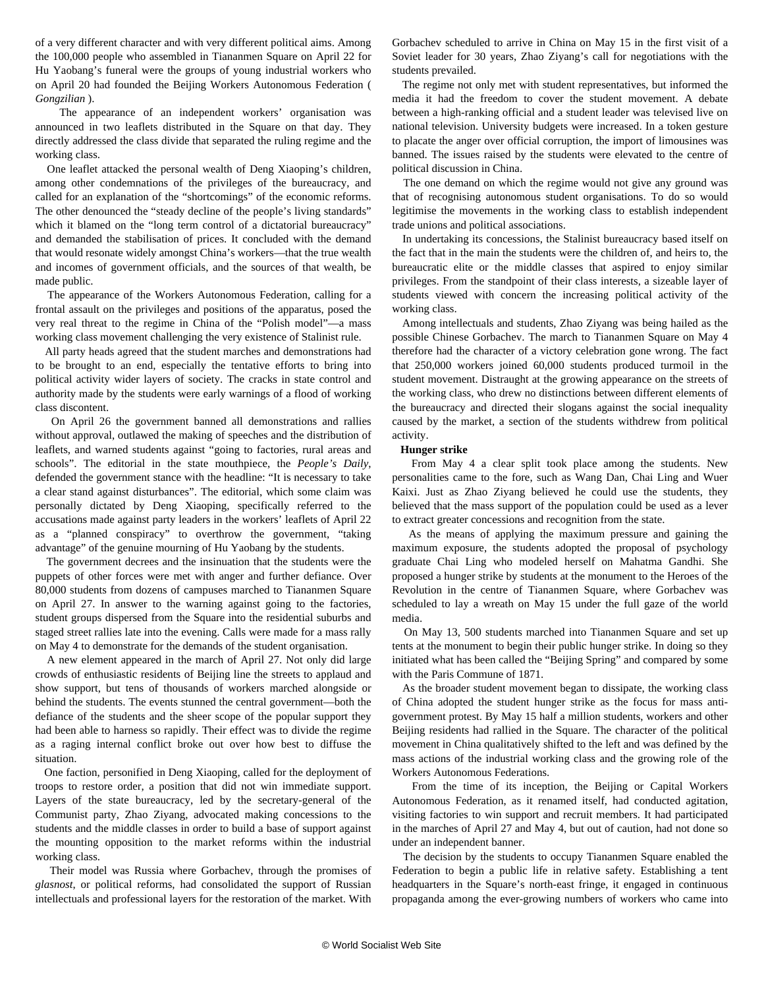of a very different character and with very different political aims. Among the 100,000 people who assembled in Tiananmen Square on April 22 for Hu Yaobang's funeral were the groups of young industrial workers who on April 20 had founded the Beijing Workers Autonomous Federation ( *Gongzilian* ).

 The appearance of an independent workers' organisation was announced in two leaflets distributed in the Square on that day. They directly addressed the class divide that separated the ruling regime and the working class.

 One leaflet attacked the personal wealth of Deng Xiaoping's children, among other condemnations of the privileges of the bureaucracy, and called for an explanation of the "shortcomings" of the economic reforms. The other denounced the "steady decline of the people's living standards" which it blamed on the "long term control of a dictatorial bureaucracy" and demanded the stabilisation of prices. It concluded with the demand that would resonate widely amongst China's workers—that the true wealth and incomes of government officials, and the sources of that wealth, be made public.

 The appearance of the Workers Autonomous Federation, calling for a frontal assault on the privileges and positions of the apparatus, posed the very real threat to the regime in China of the "Polish model"—a mass working class movement challenging the very existence of Stalinist rule.

 All party heads agreed that the student marches and demonstrations had to be brought to an end, especially the tentative efforts to bring into political activity wider layers of society. The cracks in state control and authority made by the students were early warnings of a flood of working class discontent.

 On April 26 the government banned all demonstrations and rallies without approval, outlawed the making of speeches and the distribution of leaflets, and warned students against "going to factories, rural areas and schools". The editorial in the state mouthpiece, the *People's Daily*, defended the government stance with the headline: "It is necessary to take a clear stand against disturbances". The editorial, which some claim was personally dictated by Deng Xiaoping, specifically referred to the accusations made against party leaders in the workers' leaflets of April 22 as a "planned conspiracy" to overthrow the government, "taking advantage" of the genuine mourning of Hu Yaobang by the students.

 The government decrees and the insinuation that the students were the puppets of other forces were met with anger and further defiance. Over 80,000 students from dozens of campuses marched to Tiananmen Square on April 27. In answer to the warning against going to the factories, student groups dispersed from the Square into the residential suburbs and staged street rallies late into the evening. Calls were made for a mass rally on May 4 to demonstrate for the demands of the student organisation.

 A new element appeared in the march of April 27. Not only did large crowds of enthusiastic residents of Beijing line the streets to applaud and show support, but tens of thousands of workers marched alongside or behind the students. The events stunned the central government—both the defiance of the students and the sheer scope of the popular support they had been able to harness so rapidly. Their effect was to divide the regime as a raging internal conflict broke out over how best to diffuse the situation.

 One faction, personified in Deng Xiaoping, called for the deployment of troops to restore order, a position that did not win immediate support. Layers of the state bureaucracy, led by the secretary-general of the Communist party, Zhao Ziyang, advocated making concessions to the students and the middle classes in order to build a base of support against the mounting opposition to the market reforms within the industrial working class.

 Their model was Russia where Gorbachev, through the promises of *glasnost*, or political reforms, had consolidated the support of Russian intellectuals and professional layers for the restoration of the market. With Gorbachev scheduled to arrive in China on May 15 in the first visit of a Soviet leader for 30 years, Zhao Ziyang's call for negotiations with the students prevailed.

 The regime not only met with student representatives, but informed the media it had the freedom to cover the student movement. A debate between a high-ranking official and a student leader was televised live on national television. University budgets were increased. In a token gesture to placate the anger over official corruption, the import of limousines was banned. The issues raised by the students were elevated to the centre of political discussion in China.

 The one demand on which the regime would not give any ground was that of recognising autonomous student organisations. To do so would legitimise the movements in the working class to establish independent trade unions and political associations.

 In undertaking its concessions, the Stalinist bureaucracy based itself on the fact that in the main the students were the children of, and heirs to, the bureaucratic elite or the middle classes that aspired to enjoy similar privileges. From the standpoint of their class interests, a sizeable layer of students viewed with concern the increasing political activity of the working class.

 Among intellectuals and students, Zhao Ziyang was being hailed as the possible Chinese Gorbachev. The march to Tiananmen Square on May 4 therefore had the character of a victory celebration gone wrong. The fact that 250,000 workers joined 60,000 students produced turmoil in the student movement. Distraught at the growing appearance on the streets of the working class, who drew no distinctions between different elements of the bureaucracy and directed their slogans against the social inequality caused by the market, a section of the students withdrew from political activity.

#### **Hunger strike**

 From May 4 a clear split took place among the students. New personalities came to the fore, such as Wang Dan, Chai Ling and Wuer Kaixi. Just as Zhao Ziyang believed he could use the students, they believed that the mass support of the population could be used as a lever to extract greater concessions and recognition from the state.

 As the means of applying the maximum pressure and gaining the maximum exposure, the students adopted the proposal of psychology graduate Chai Ling who modeled herself on Mahatma Gandhi. She proposed a hunger strike by students at the monument to the Heroes of the Revolution in the centre of Tiananmen Square, where Gorbachev was scheduled to lay a wreath on May 15 under the full gaze of the world media.

 On May 13, 500 students marched into Tiananmen Square and set up tents at the monument to begin their public hunger strike. In doing so they initiated what has been called the "Beijing Spring" and compared by some with the Paris Commune of 1871.

 As the broader student movement began to dissipate, the working class of China adopted the student hunger strike as the focus for mass antigovernment protest. By May 15 half a million students, workers and other Beijing residents had rallied in the Square. The character of the political movement in China qualitatively shifted to the left and was defined by the mass actions of the industrial working class and the growing role of the Workers Autonomous Federations.

 From the time of its inception, the Beijing or Capital Workers Autonomous Federation, as it renamed itself, had conducted agitation, visiting factories to win support and recruit members. It had participated in the marches of April 27 and May 4, but out of caution, had not done so under an independent banner.

 The decision by the students to occupy Tiananmen Square enabled the Federation to begin a public life in relative safety. Establishing a tent headquarters in the Square's north-east fringe, it engaged in continuous propaganda among the ever-growing numbers of workers who came into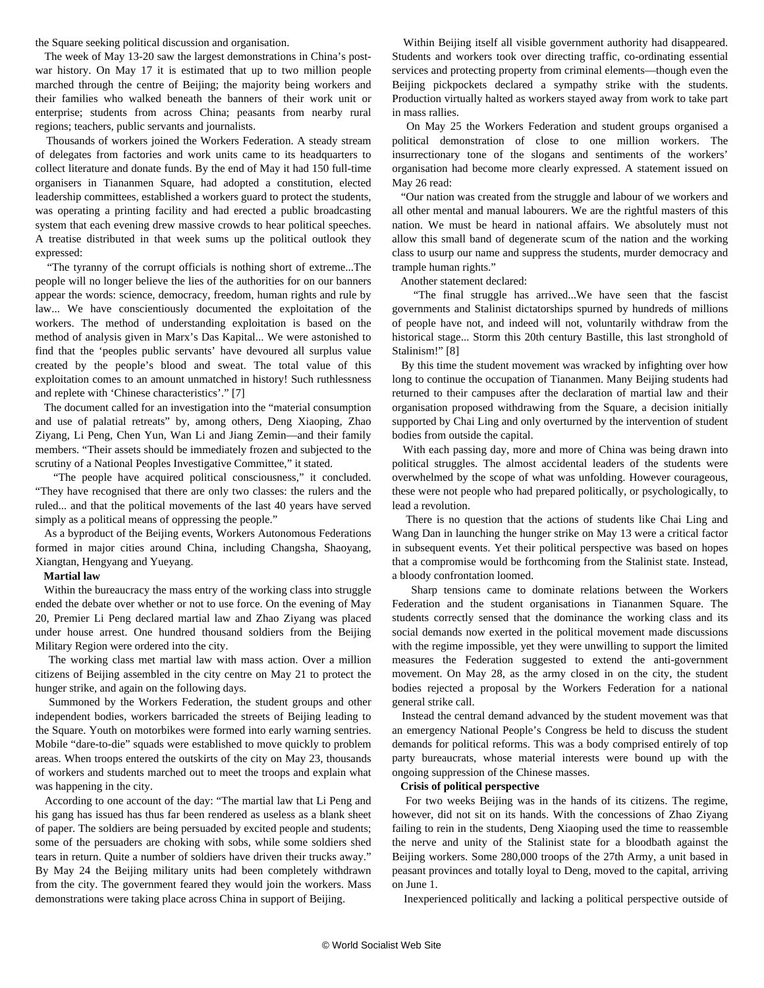the Square seeking political discussion and organisation.

 The week of May 13-20 saw the largest demonstrations in China's postwar history. On May 17 it is estimated that up to two million people marched through the centre of Beijing; the majority being workers and their families who walked beneath the banners of their work unit or enterprise; students from across China; peasants from nearby rural regions; teachers, public servants and journalists.

 Thousands of workers joined the Workers Federation. A steady stream of delegates from factories and work units came to its headquarters to collect literature and donate funds. By the end of May it had 150 full-time organisers in Tiananmen Square, had adopted a constitution, elected leadership committees, established a workers guard to protect the students, was operating a printing facility and had erected a public broadcasting system that each evening drew massive crowds to hear political speeches. A treatise distributed in that week sums up the political outlook they expressed:

 "The tyranny of the corrupt officials is nothing short of extreme...The people will no longer believe the lies of the authorities for on our banners appear the words: science, democracy, freedom, human rights and rule by law... We have conscientiously documented the exploitation of the workers. The method of understanding exploitation is based on the method of analysis given in Marx's Das Kapital... We were astonished to find that the 'peoples public servants' have devoured all surplus value created by the people's blood and sweat. The total value of this exploitation comes to an amount unmatched in history! Such ruthlessness and replete with 'Chinese characteristics'." [7]

 The document called for an investigation into the "material consumption and use of palatial retreats" by, among others, Deng Xiaoping, Zhao Ziyang, Li Peng, Chen Yun, Wan Li and Jiang Zemin—and their family members. "Their assets should be immediately frozen and subjected to the scrutiny of a National Peoples Investigative Committee," it stated.

 "The people have acquired political consciousness," it concluded. "They have recognised that there are only two classes: the rulers and the ruled... and that the political movements of the last 40 years have served simply as a political means of oppressing the people."

 As a byproduct of the Beijing events, Workers Autonomous Federations formed in major cities around China, including Changsha, Shaoyang, Xiangtan, Hengyang and Yueyang.

#### **Martial law**

 Within the bureaucracy the mass entry of the working class into struggle ended the debate over whether or not to use force. On the evening of May 20, Premier Li Peng declared martial law and Zhao Ziyang was placed under house arrest. One hundred thousand soldiers from the Beijing Military Region were ordered into the city.

 The working class met martial law with mass action. Over a million citizens of Beijing assembled in the city centre on May 21 to protect the hunger strike, and again on the following days.

 Summoned by the Workers Federation, the student groups and other independent bodies, workers barricaded the streets of Beijing leading to the Square. Youth on motorbikes were formed into early warning sentries. Mobile "dare-to-die" squads were established to move quickly to problem areas. When troops entered the outskirts of the city on May 23, thousands of workers and students marched out to meet the troops and explain what was happening in the city.

 According to one account of the day: "The martial law that Li Peng and his gang has issued has thus far been rendered as useless as a blank sheet of paper. The soldiers are being persuaded by excited people and students; some of the persuaders are choking with sobs, while some soldiers shed tears in return. Quite a number of soldiers have driven their trucks away." By May 24 the Beijing military units had been completely withdrawn from the city. The government feared they would join the workers. Mass demonstrations were taking place across China in support of Beijing.

 Within Beijing itself all visible government authority had disappeared. Students and workers took over directing traffic, co-ordinating essential services and protecting property from criminal elements—though even the Beijing pickpockets declared a sympathy strike with the students. Production virtually halted as workers stayed away from work to take part in mass rallies.

 On May 25 the Workers Federation and student groups organised a political demonstration of close to one million workers. The insurrectionary tone of the slogans and sentiments of the workers' organisation had become more clearly expressed. A statement issued on May 26 read:

 "Our nation was created from the struggle and labour of we workers and all other mental and manual labourers. We are the rightful masters of this nation. We must be heard in national affairs. We absolutely must not allow this small band of degenerate scum of the nation and the working class to usurp our name and suppress the students, murder democracy and trample human rights."

Another statement declared:

 "The final struggle has arrived...We have seen that the fascist governments and Stalinist dictatorships spurned by hundreds of millions of people have not, and indeed will not, voluntarily withdraw from the historical stage... Storm this 20th century Bastille, this last stronghold of Stalinism!" [8]

 By this time the student movement was wracked by infighting over how long to continue the occupation of Tiananmen. Many Beijing students had returned to their campuses after the declaration of martial law and their organisation proposed withdrawing from the Square, a decision initially supported by Chai Ling and only overturned by the intervention of student bodies from outside the capital.

 With each passing day, more and more of China was being drawn into political struggles. The almost accidental leaders of the students were overwhelmed by the scope of what was unfolding. However courageous, these were not people who had prepared politically, or psychologically, to lead a revolution.

 There is no question that the actions of students like Chai Ling and Wang Dan in launching the hunger strike on May 13 were a critical factor in subsequent events. Yet their political perspective was based on hopes that a compromise would be forthcoming from the Stalinist state. Instead, a bloody confrontation loomed.

 Sharp tensions came to dominate relations between the Workers Federation and the student organisations in Tiananmen Square. The students correctly sensed that the dominance the working class and its social demands now exerted in the political movement made discussions with the regime impossible, yet they were unwilling to support the limited measures the Federation suggested to extend the anti-government movement. On May 28, as the army closed in on the city, the student bodies rejected a proposal by the Workers Federation for a national general strike call.

 Instead the central demand advanced by the student movement was that an emergency National People's Congress be held to discuss the student demands for political reforms. This was a body comprised entirely of top party bureaucrats, whose material interests were bound up with the ongoing suppression of the Chinese masses.

#### **Crisis of political perspective**

 For two weeks Beijing was in the hands of its citizens. The regime, however, did not sit on its hands. With the concessions of Zhao Ziyang failing to rein in the students, Deng Xiaoping used the time to reassemble the nerve and unity of the Stalinist state for a bloodbath against the Beijing workers. Some 280,000 troops of the 27th Army, a unit based in peasant provinces and totally loyal to Deng, moved to the capital, arriving on June 1.

Inexperienced politically and lacking a political perspective outside of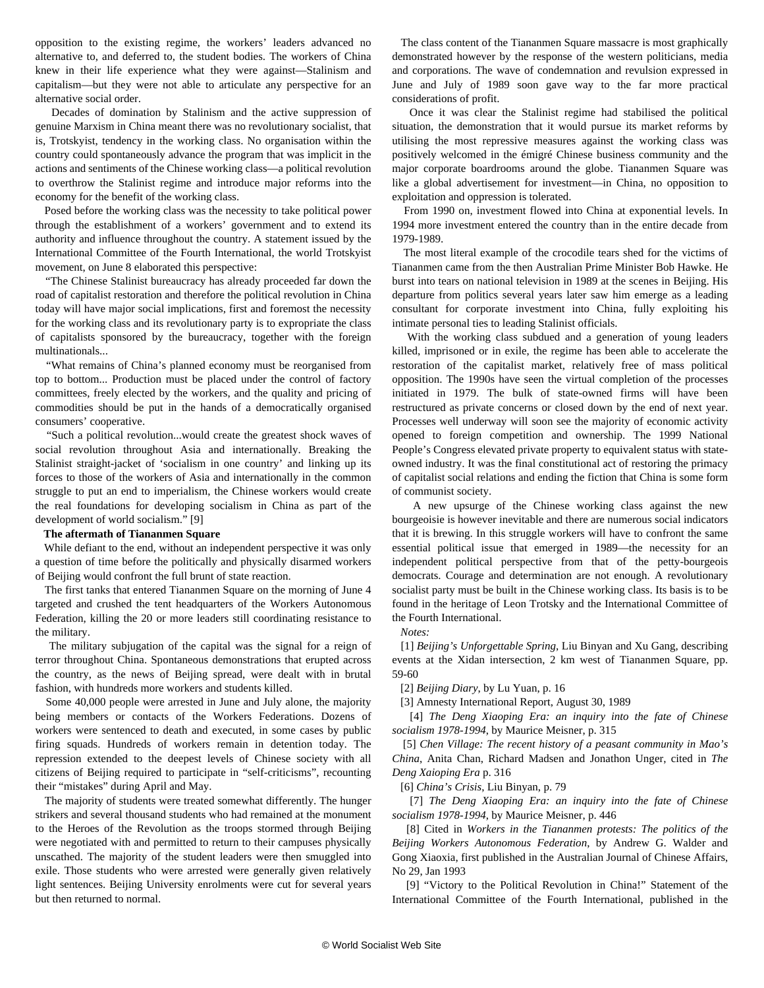opposition to the existing regime, the workers' leaders advanced no alternative to, and deferred to, the student bodies. The workers of China knew in their life experience what they were against—Stalinism and capitalism—but they were not able to articulate any perspective for an alternative social order.

 Decades of domination by Stalinism and the active suppression of genuine Marxism in China meant there was no revolutionary socialist, that is, Trotskyist, tendency in the working class. No organisation within the country could spontaneously advance the program that was implicit in the actions and sentiments of the Chinese working class—a political revolution to overthrow the Stalinist regime and introduce major reforms into the economy for the benefit of the working class.

 Posed before the working class was the necessity to take political power through the establishment of a workers' government and to extend its authority and influence throughout the country. A statement issued by the International Committee of the Fourth International, the world Trotskyist movement, on June 8 elaborated this perspective:

 "The Chinese Stalinist bureaucracy has already proceeded far down the road of capitalist restoration and therefore the political revolution in China today will have major social implications, first and foremost the necessity for the working class and its revolutionary party is to expropriate the class of capitalists sponsored by the bureaucracy, together with the foreign multinationals...

 "What remains of China's planned economy must be reorganised from top to bottom... Production must be placed under the control of factory committees, freely elected by the workers, and the quality and pricing of commodities should be put in the hands of a democratically organised consumers' cooperative.

 "Such a political revolution...would create the greatest shock waves of social revolution throughout Asia and internationally. Breaking the Stalinist straight-jacket of 'socialism in one country' and linking up its forces to those of the workers of Asia and internationally in the common struggle to put an end to imperialism, the Chinese workers would create the real foundations for developing socialism in China as part of the development of world socialism." [9]

#### **The aftermath of Tiananmen Square**

 While defiant to the end, without an independent perspective it was only a question of time before the politically and physically disarmed workers of Beijing would confront the full brunt of state reaction.

 The first tanks that entered Tiananmen Square on the morning of June 4 targeted and crushed the tent headquarters of the Workers Autonomous Federation, killing the 20 or more leaders still coordinating resistance to the military.

 The military subjugation of the capital was the signal for a reign of terror throughout China. Spontaneous demonstrations that erupted across the country, as the news of Beijing spread, were dealt with in brutal fashion, with hundreds more workers and students killed.

 Some 40,000 people were arrested in June and July alone, the majority being members or contacts of the Workers Federations. Dozens of workers were sentenced to death and executed, in some cases by public firing squads. Hundreds of workers remain in detention today. The repression extended to the deepest levels of Chinese society with all citizens of Beijing required to participate in "self-criticisms", recounting their "mistakes" during April and May.

 The majority of students were treated somewhat differently. The hunger strikers and several thousand students who had remained at the monument to the Heroes of the Revolution as the troops stormed through Beijing were negotiated with and permitted to return to their campuses physically unscathed. The majority of the student leaders were then smuggled into exile. Those students who were arrested were generally given relatively light sentences. Beijing University enrolments were cut for several years but then returned to normal.

 The class content of the Tiananmen Square massacre is most graphically demonstrated however by the response of the western politicians, media and corporations. The wave of condemnation and revulsion expressed in June and July of 1989 soon gave way to the far more practical considerations of profit.

 Once it was clear the Stalinist regime had stabilised the political situation, the demonstration that it would pursue its market reforms by utilising the most repressive measures against the working class was positively welcomed in the émigré Chinese business community and the major corporate boardrooms around the globe. Tiananmen Square was like a global advertisement for investment—in China, no opposition to exploitation and oppression is tolerated.

 From 1990 on, investment flowed into China at exponential levels. In 1994 more investment entered the country than in the entire decade from 1979-1989.

 The most literal example of the crocodile tears shed for the victims of Tiananmen came from the then Australian Prime Minister Bob Hawke. He burst into tears on national television in 1989 at the scenes in Beijing. His departure from politics several years later saw him emerge as a leading consultant for corporate investment into China, fully exploiting his intimate personal ties to leading Stalinist officials.

 With the working class subdued and a generation of young leaders killed, imprisoned or in exile, the regime has been able to accelerate the restoration of the capitalist market, relatively free of mass political opposition. The 1990s have seen the virtual completion of the processes initiated in 1979. The bulk of state-owned firms will have been restructured as private concerns or closed down by the end of next year. Processes well underway will soon see the majority of economic activity opened to foreign competition and ownership. The 1999 National People's Congress elevated private property to equivalent status with stateowned industry. It was the final constitutional act of restoring the primacy of capitalist social relations and ending the fiction that China is some form of communist society.

 A new upsurge of the Chinese working class against the new bourgeoisie is however inevitable and there are numerous social indicators that it is brewing. In this struggle workers will have to confront the same essential political issue that emerged in 1989—the necessity for an independent political perspective from that of the petty-bourgeois democrats. Courage and determination are not enough. A revolutionary socialist party must be built in the Chinese working class. Its basis is to be found in the heritage of Leon Trotsky and the International Committee of the Fourth International.

*Notes:*

 [1] *Beijing's Unforgettable Spring*, Liu Binyan and Xu Gang, describing events at the Xidan intersection, 2 km west of Tiananmen Square, pp. 59-60

[2] *Beijing Diary*, by Lu Yuan, p. 16

[3] Amnesty International Report, August 30, 1989

 [4] *The Deng Xiaoping Era: an inquiry into the fate of Chinese socialism 1978-1994*, by Maurice Meisner, p. 315

 [5] *Chen Village: The recent history of a peasant community in Mao's China*, Anita Chan, Richard Madsen and Jonathon Unger, cited in *The Deng Xaioping Era* p. 316

[6] *China's Crisis*, Liu Binyan, p. 79

 [7] *The Deng Xiaoping Era: an inquiry into the fate of Chinese socialism 1978-1994*, by Maurice Meisner, p. 446

 [8] Cited in *Workers in the Tiananmen protests: The politics of the Beijing Workers Autonomous Federation*, by Andrew G. Walder and Gong Xiaoxia, first published in the Australian Journal of Chinese Affairs, No 29, Jan 1993

 [9] "Victory to the Political Revolution in China!" Statement of the International Committee of the Fourth International, published in the